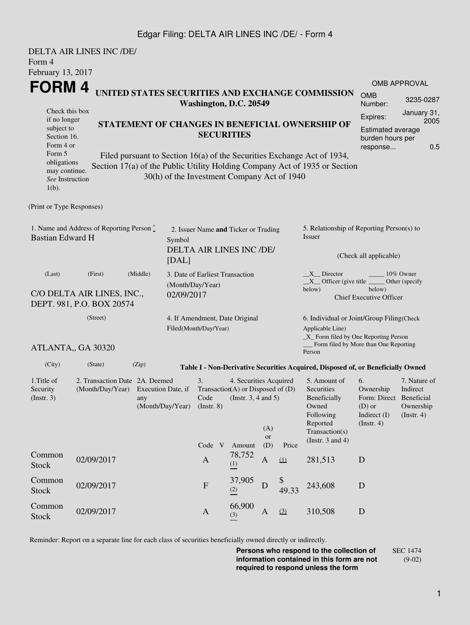## Edgar Filing: DELTA AIR LINES INC /DE/ - Form 4

|                                                                                                                                                   | DELTA AIR LINES INC /DE/       |                                                                                                                                                                                                                                                                                                                                                                                        |                                                                  |                                |                                                                                                |                                                                                                                                              |                                                                                                                                                              |                                                                                                                         |                                                                                       |                                                           |  |
|---------------------------------------------------------------------------------------------------------------------------------------------------|--------------------------------|----------------------------------------------------------------------------------------------------------------------------------------------------------------------------------------------------------------------------------------------------------------------------------------------------------------------------------------------------------------------------------------|------------------------------------------------------------------|--------------------------------|------------------------------------------------------------------------------------------------|----------------------------------------------------------------------------------------------------------------------------------------------|--------------------------------------------------------------------------------------------------------------------------------------------------------------|-------------------------------------------------------------------------------------------------------------------------|---------------------------------------------------------------------------------------|-----------------------------------------------------------|--|
| Form 4<br>February 13, 2017                                                                                                                       |                                |                                                                                                                                                                                                                                                                                                                                                                                        |                                                                  |                                |                                                                                                |                                                                                                                                              |                                                                                                                                                              |                                                                                                                         |                                                                                       |                                                           |  |
|                                                                                                                                                   |                                |                                                                                                                                                                                                                                                                                                                                                                                        |                                                                  |                                |                                                                                                |                                                                                                                                              |                                                                                                                                                              |                                                                                                                         |                                                                                       | OMB APPROVAL                                              |  |
| FORM 4<br>UNITED STATES SECURITIES AND EXCHANGE COMMISSION<br>Washington, D.C. 20549                                                              |                                |                                                                                                                                                                                                                                                                                                                                                                                        |                                                                  |                                |                                                                                                |                                                                                                                                              |                                                                                                                                                              |                                                                                                                         |                                                                                       | 3235-0287                                                 |  |
| Check this box<br>if no longer<br>subject to<br>Section 16.<br>Form 4 or<br>Form 5<br>obligations<br>may continue.<br>See Instruction<br>$1(b)$ . |                                | Number:<br>January 31,<br>Expires:<br>2005<br>STATEMENT OF CHANGES IN BENEFICIAL OWNERSHIP OF<br><b>Estimated average</b><br><b>SECURITIES</b><br>burden hours per<br>response<br>Filed pursuant to Section 16(a) of the Securities Exchange Act of 1934,<br>Section 17(a) of the Public Utility Holding Company Act of 1935 or Section<br>30(h) of the Investment Company Act of 1940 |                                                                  |                                |                                                                                                |                                                                                                                                              |                                                                                                                                                              |                                                                                                                         |                                                                                       |                                                           |  |
| (Print or Type Responses)                                                                                                                         |                                |                                                                                                                                                                                                                                                                                                                                                                                        |                                                                  |                                |                                                                                                |                                                                                                                                              |                                                                                                                                                              |                                                                                                                         |                                                                                       |                                                           |  |
| 1. Name and Address of Reporting Person *<br><b>Bastian Edward H</b>                                                                              | Symbol<br>[DAL]                |                                                                                                                                                                                                                                                                                                                                                                                        | 2. Issuer Name and Ticker or Trading<br>DELTA AIR LINES INC /DE/ |                                |                                                                                                | 5. Relationship of Reporting Person(s) to<br><b>Issuer</b><br>(Check all applicable)                                                         |                                                                                                                                                              |                                                                                                                         |                                                                                       |                                                           |  |
| (Last)<br>C/O DELTA AIR LINES, INC.,<br>DEPT. 981, P.O. BOX 20574                                                                                 | (Month/Day/Year)<br>02/09/2017 | 3. Date of Earliest Transaction                                                                                                                                                                                                                                                                                                                                                        |                                                                  |                                |                                                                                                | $X$ Director<br>10% Owner<br>$X$ Officer (give title $\frac{1}{1-x}$<br>Other (specify<br>below)<br>below)<br><b>Chief Executive Officer</b> |                                                                                                                                                              |                                                                                                                         |                                                                                       |                                                           |  |
|                                                                                                                                                   | (Street)<br>ATLANTA,, GA 30320 |                                                                                                                                                                                                                                                                                                                                                                                        | Filed(Month/Day/Year)                                            | 4. If Amendment, Date Original |                                                                                                |                                                                                                                                              | 6. Individual or Joint/Group Filing(Check<br>Applicable Line)<br>$\_X$ Form filed by One Reporting Person<br>Form filed by More than One Reporting<br>Person |                                                                                                                         |                                                                                       |                                                           |  |
| (City)                                                                                                                                            | (State)                        | (Zip)                                                                                                                                                                                                                                                                                                                                                                                  |                                                                  |                                |                                                                                                |                                                                                                                                              |                                                                                                                                                              | Table I - Non-Derivative Securities Acquired, Disposed of, or Beneficially Owned                                        |                                                                                       |                                                           |  |
| 1. Title of<br>Security<br>$($ Instr. 3 $)$                                                                                                       |                                | 2. Transaction Date 2A. Deemed<br>(Month/Day/Year) Execution Date, if<br>any<br>(Month/Day/Year)                                                                                                                                                                                                                                                                                       |                                                                  |                                | 4. Securities Acquired<br>Transaction(A) or Disposed of $(D)$<br>Code (Instr. $3, 4$ and $5$ ) | (A)<br><b>or</b>                                                                                                                             |                                                                                                                                                              | 5. Amount of<br>Securities<br>Beneficially<br>Owned<br>Following<br>Reported<br>Transaction(s)<br>(Instr. $3$ and $4$ ) | 6.<br>Ownership<br>Form: Direct Beneficial<br>$(D)$ or<br>Indirect (I)<br>(Insert. 4) | 7. Nature of<br>Indirect<br>Ownership<br>$($ Instr. 4 $)$ |  |
| Common<br><b>Stock</b>                                                                                                                            | 02/09/2017                     |                                                                                                                                                                                                                                                                                                                                                                                        |                                                                  | Code V<br>$\mathbf{A}$         | Amount<br>78,752<br>(1)                                                                        | (D)<br>A                                                                                                                                     | Price<br>(1)                                                                                                                                                 | 281,513                                                                                                                 | D                                                                                     |                                                           |  |
| Common<br>Stock                                                                                                                                   | 02/09/2017                     |                                                                                                                                                                                                                                                                                                                                                                                        |                                                                  | $\mathbf F$                    | 37,905<br>(2)                                                                                  | D                                                                                                                                            | \$<br>49.33                                                                                                                                                  | 243,608                                                                                                                 | D                                                                                     |                                                           |  |
| Common<br><b>Stock</b>                                                                                                                            | 02/09/2017                     |                                                                                                                                                                                                                                                                                                                                                                                        |                                                                  | $\mathbf{A}$                   | 66,900<br>(3)                                                                                  | $\mathbf{A}$                                                                                                                                 | (3)                                                                                                                                                          | 310,508                                                                                                                 | $\mathbf D$                                                                           |                                                           |  |

Reminder: Report on a separate line for each class of securities beneficially owned directly or indirectly.

**Persons who respond to the collection of information contained in this form are not required to respond unless the form** SEC 1474 (9-02)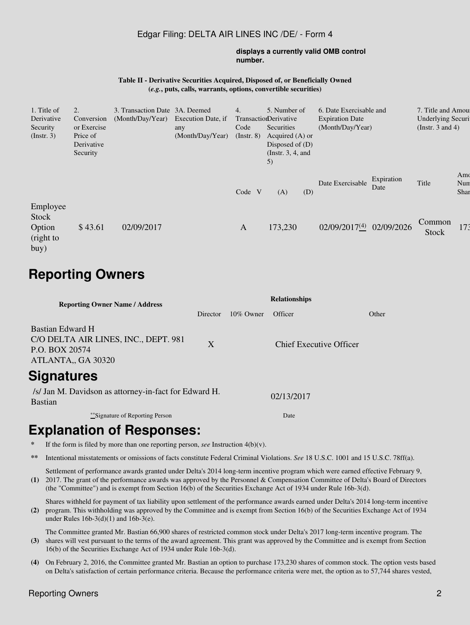### Edgar Filing: DELTA AIR LINES INC /DE/ - Form 4

#### **displays a currently valid OMB control number.**

#### **Table II - Derivative Securities Acquired, Disposed of, or Beneficially Owned (***e.g.***, puts, calls, warrants, options, convertible securities)**

| 1. Title of<br>Derivative<br>Security<br>$($ Instr. 3 $)$ | 2.<br>Conversion<br>or Exercise<br>Price of<br>Derivative<br>Security | 3. Transaction Date 3A. Deemed<br>(Month/Day/Year) | Execution Date, if<br>any<br>(Month/Day/Year) | 4.<br>Code<br>$($ Instr. $8)$ | 5. Number of<br>TransactionDerivative<br>Securities<br>Acquired $(A)$ or<br>Disposed of $(D)$<br>(Instr. $3, 4$ , and<br>5) |     | 6. Date Exercisable and<br><b>Expiration Date</b><br>(Month/Day/Year) |                    | 7. Title and Amour<br><b>Underlying Securi</b><br>(Instr. $3$ and $4$ ) |                    |
|-----------------------------------------------------------|-----------------------------------------------------------------------|----------------------------------------------------|-----------------------------------------------|-------------------------------|-----------------------------------------------------------------------------------------------------------------------------|-----|-----------------------------------------------------------------------|--------------------|-------------------------------------------------------------------------|--------------------|
|                                                           |                                                                       |                                                    |                                               | Code V                        | (A)                                                                                                                         | (D) | Date Exercisable                                                      | Expiration<br>Date | Title                                                                   | Amo<br>Nun<br>Shar |
| Employee<br><b>Stock</b><br>Option<br>(right to<br>buy)   | \$43.61                                                               | 02/09/2017                                         |                                               | $\mathbf{A}$                  | 173,230                                                                                                                     |     | 02/09/2017(4) 02/09/2026                                              |                    | Common<br><b>Stock</b>                                                  | 173                |

# **Reporting Owners**

| <b>Reporting Owner Name / Address</b>                                                            | <b>Relationships</b> |              |                                |       |  |  |  |  |
|--------------------------------------------------------------------------------------------------|----------------------|--------------|--------------------------------|-------|--|--|--|--|
|                                                                                                  | Director             | $10\%$ Owner | Officer                        | Other |  |  |  |  |
| Bastian Edward H<br>C/O DELTA AIR LINES, INC., DEPT. 981<br>P.O. BOX 20574<br>ATLANTA,, GA 30320 | X                    |              | <b>Chief Executive Officer</b> |       |  |  |  |  |
| <b>Signatures</b>                                                                                |                      |              |                                |       |  |  |  |  |
| /s/ Jan M. Davidson as attorney-in-fact for Edward H.<br><b>Bastian</b>                          |                      | 02/13/2017   |                                |       |  |  |  |  |
| **Signature of Reporting Person                                                                  |                      | Date         |                                |       |  |  |  |  |

## **Explanation of Responses:**

- If the form is filed by more than one reporting person,  $\text{see}$  Instruction 4(b)(v).
- **\*\*** Intentional misstatements or omissions of facts constitute Federal Criminal Violations. *See* 18 U.S.C. 1001 and 15 U.S.C. 78ff(a).
- **(1)** 2017. The grant of the performance awards was approved by the Personnel & Compensation Committee of Delta's Board of Directors Settlement of performance awards granted under Delta's 2014 long-term incentive program which were earned effective February 9, (the "Committee") and is exempt from Section 16(b) of the Securities Exchange Act of 1934 under Rule 16b-3(d).

**(2)** program. This withholding was approved by the Committee and is exempt from Section 16(b) of the Securities Exchange Act of 1934 Shares withheld for payment of tax liability upon settlement of the performance awards earned under Delta's 2014 long-term incentive under Rules 16b-3(d)(1) and 16b-3(e).

The Committee granted Mr. Bastian 66,900 shares of restricted common stock under Delta's 2017 long-term incentive program. The

- **(3)** shares will vest pursuant to the terms of the award agreement. This grant was approved by the Committee and is exempt from Section 16(b) of the Securities Exchange Act of 1934 under Rule 16b-3(d).
- **(4)** On February 2, 2016, the Committee granted Mr. Bastian an option to purchase 173,230 shares of common stock. The option vests based on Delta's satisfaction of certain performance criteria. Because the performance criteria were met, the option as to 57,744 shares vested,